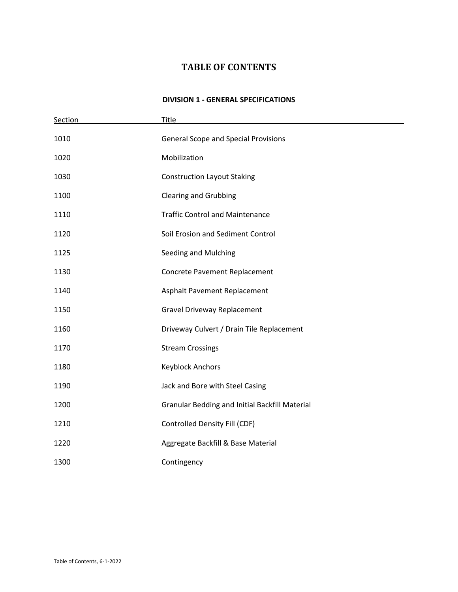# **TABLE OF CONTENTS**

### **DIVISION 1 - GENERAL SPECIFICATIONS**

| Section | Title                                                 |  |
|---------|-------------------------------------------------------|--|
| 1010    | <b>General Scope and Special Provisions</b>           |  |
| 1020    | Mobilization                                          |  |
| 1030    | <b>Construction Layout Staking</b>                    |  |
| 1100    | <b>Clearing and Grubbing</b>                          |  |
| 1110    | <b>Traffic Control and Maintenance</b>                |  |
| 1120    | Soil Erosion and Sediment Control                     |  |
| 1125    | Seeding and Mulching                                  |  |
| 1130    | Concrete Pavement Replacement                         |  |
| 1140    | Asphalt Pavement Replacement                          |  |
| 1150    | <b>Gravel Driveway Replacement</b>                    |  |
| 1160    | Driveway Culvert / Drain Tile Replacement             |  |
| 1170    | <b>Stream Crossings</b>                               |  |
| 1180    | <b>Keyblock Anchors</b>                               |  |
| 1190    | Jack and Bore with Steel Casing                       |  |
| 1200    | <b>Granular Bedding and Initial Backfill Material</b> |  |
| 1210    | Controlled Density Fill (CDF)                         |  |
| 1220    | Aggregate Backfill & Base Material                    |  |
| 1300    | Contingency                                           |  |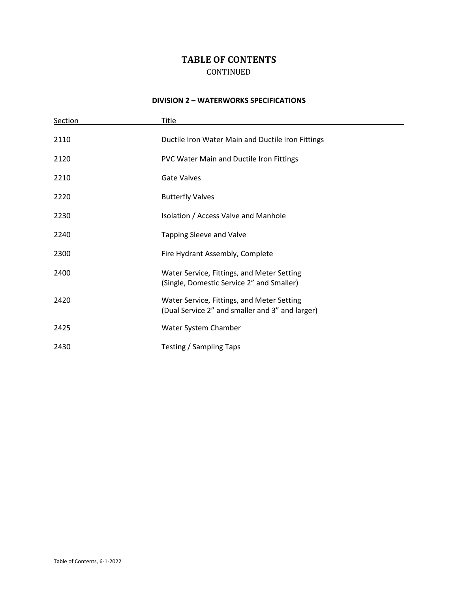## **TABLE OF CONTENTS**  CONTINUED

#### **DIVISION 2 – WATERWORKS SPECIFICATIONS**

e e

| Section | Title                                                                                         |
|---------|-----------------------------------------------------------------------------------------------|
| 2110    | Ductile Iron Water Main and Ductile Iron Fittings                                             |
| 2120    | PVC Water Main and Ductile Iron Fittings                                                      |
| 2210    | <b>Gate Valves</b>                                                                            |
| 2220    | <b>Butterfly Valves</b>                                                                       |
| 2230    | Isolation / Access Valve and Manhole                                                          |
| 2240    | Tapping Sleeve and Valve                                                                      |
| 2300    | Fire Hydrant Assembly, Complete                                                               |
| 2400    | Water Service, Fittings, and Meter Setting<br>(Single, Domestic Service 2" and Smaller)       |
| 2420    | Water Service, Fittings, and Meter Setting<br>(Dual Service 2" and smaller and 3" and larger) |
| 2425    | Water System Chamber                                                                          |
| 2430    | Testing / Sampling Taps                                                                       |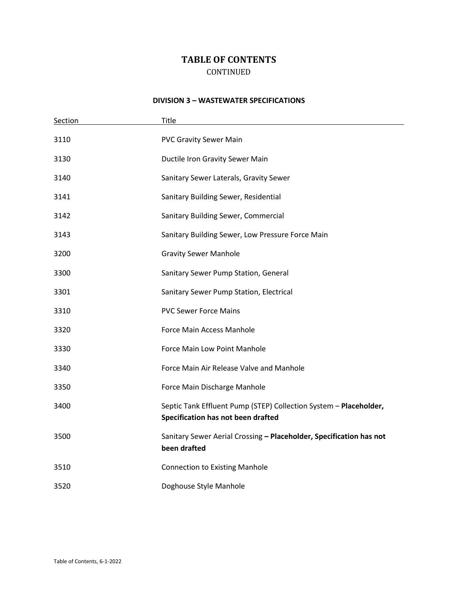## **TABLE OF CONTENTS**  CONTINUED

#### **DIVISION 3 – WASTEWATER SPECIFICATIONS**

| Section | <b>Title</b>                                                                                            |
|---------|---------------------------------------------------------------------------------------------------------|
| 3110    | <b>PVC Gravity Sewer Main</b>                                                                           |
| 3130    | Ductile Iron Gravity Sewer Main                                                                         |
| 3140    | Sanitary Sewer Laterals, Gravity Sewer                                                                  |
| 3141    | Sanitary Building Sewer, Residential                                                                    |
| 3142    | Sanitary Building Sewer, Commercial                                                                     |
| 3143    | Sanitary Building Sewer, Low Pressure Force Main                                                        |
| 3200    | <b>Gravity Sewer Manhole</b>                                                                            |
| 3300    | Sanitary Sewer Pump Station, General                                                                    |
| 3301    | Sanitary Sewer Pump Station, Electrical                                                                 |
| 3310    | <b>PVC Sewer Force Mains</b>                                                                            |
| 3320    | Force Main Access Manhole                                                                               |
| 3330    | Force Main Low Point Manhole                                                                            |
| 3340    | Force Main Air Release Valve and Manhole                                                                |
| 3350    | Force Main Discharge Manhole                                                                            |
| 3400    | Septic Tank Effluent Pump (STEP) Collection System - Placeholder,<br>Specification has not been drafted |
| 3500    | Sanitary Sewer Aerial Crossing - Placeholder, Specification has not<br>been drafted                     |
| 3510    | <b>Connection to Existing Manhole</b>                                                                   |
| 3520    | Doghouse Style Manhole                                                                                  |